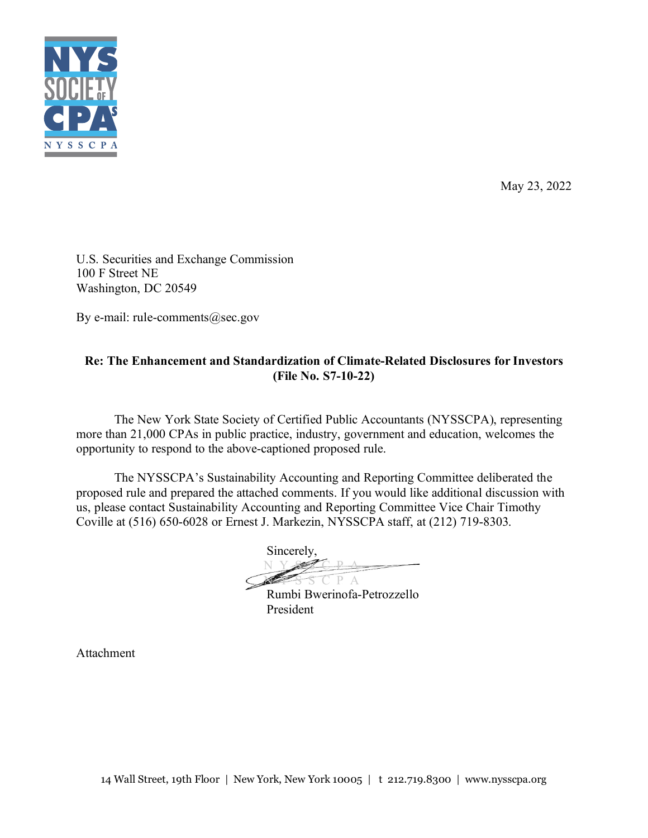

May 23, 2022

U.S. Securities and Exchange Commission 100 F Street NE Washington, DC 20549

By e-mail: rule-comments@sec.gov

# **Re: The Enhancement and Standardization of Climate-Related Disclosures for Investors (File No. S7-10-22)**

The New York State Society of Certified Public Accountants (NYSSCPA), representing more than 21,000 CPAs in public practice, industry, government and education, welcomes the opportunity to respond to the above-captioned proposed rule.

The NYSSCPA's Sustainability Accounting and Reporting Committee deliberated the proposed rule and prepared the attached comments. If you would like additional discussion with us, please contact Sustainability Accounting and Reporting Committee Vice Chair Timothy Coville at (516) 650-6028 or Ernest J. Markezin, NYSSCPA staff, at (212) 719-8303.

Sincerely, N Y S S C P A  $P A$ 

Rumbi Bwerinofa-Petrozzello President

Attachment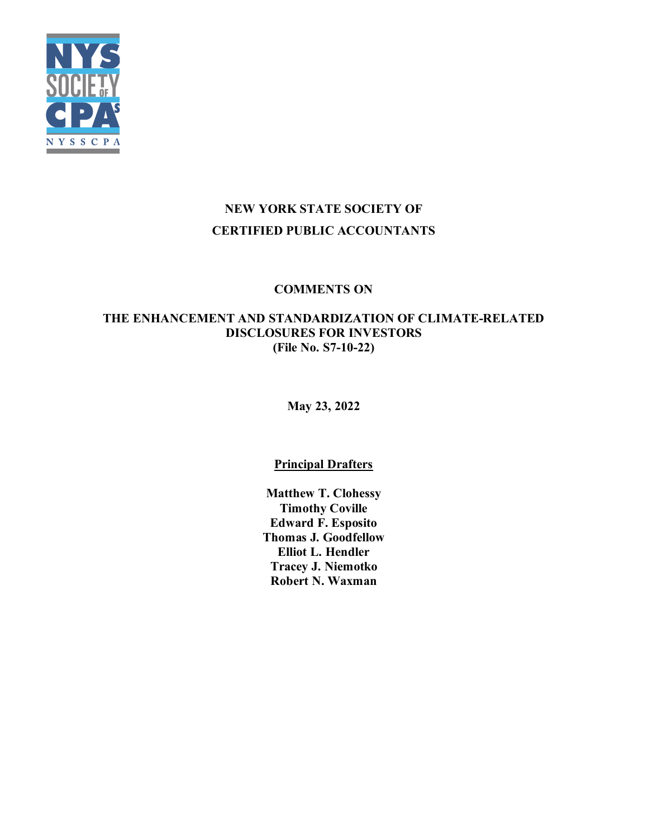

# **NEW YORK STATE SOCIETY OF CERTIFIED PUBLIC ACCOUNTANTS**

# **COMMENTS ON**

# **THE ENHANCEMENT AND STANDARDIZATION OF CLIMATE-RELATED DISCLOSURES FOR INVESTORS (File No. S7-10-22)**

**May 23, 2022** 

# **Principal Drafters**

**Matthew T. Clohessy Timothy Coville Edward F. Esposito Thomas J. Goodfellow Elliot L. Hendler Tracey J. Niemotko Robert N. Waxman**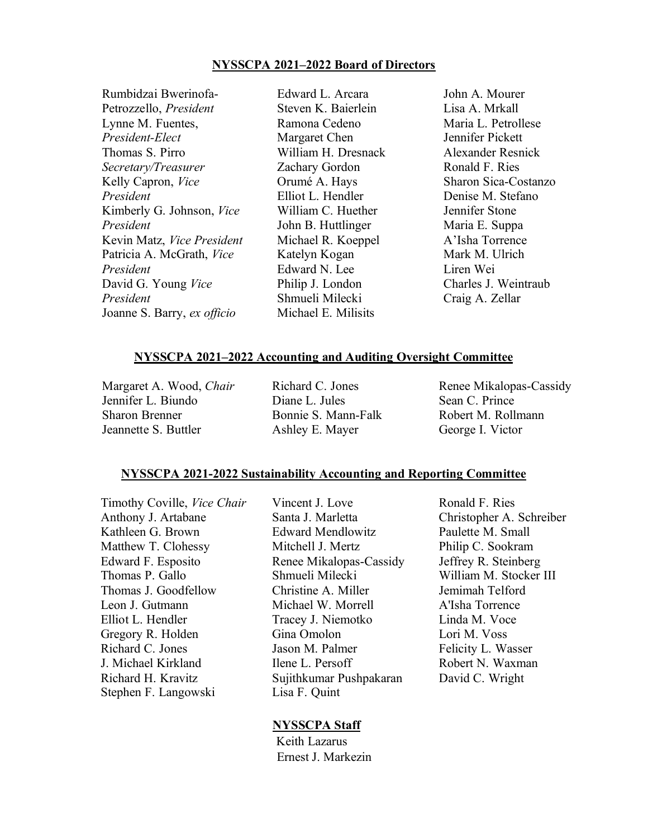### **NYSSCPA 2021–2022 Board of Directors**

| Rumbidzai Bwerinofa-        | Edward L. Arcara    |
|-----------------------------|---------------------|
| Petrozzello, President      | Steven K. Baierlein |
| Lynne M. Fuentes,           | Ramona Cedeno       |
| President-Elect             | Margaret Chen       |
| Thomas S. Pirro             | William H. Dresnack |
| Secretary/Treasurer         | Zachary Gordon      |
| Kelly Capron, Vice          | Orumé A. Hays       |
| President                   | Elliot L. Hendler   |
| Kimberly G. Johnson, Vice   | William C. Huether  |
| President                   | John B. Huttlinger  |
| Kevin Matz, Vice President  | Michael R. Koeppel  |
| Patricia A. McGrath, Vice   | Katelyn Kogan       |
| President                   | Edward N. Lee       |
| David G. Young Vice         | Philip J. London    |
| President                   | Shmueli Milecki     |
| Joanne S. Barry, ex officio | Michael E. Milisits |

John A. Mourer Lisa A. Mrkall Maria L. Petrollese Jennifer Pickett Alexander Resnick Ronald F. Ries Sharon Sica-Costanzo Denise M. Stefano Jennifer Stone Maria E. Suppa A'Isha Torrence Mark M. Ulrich Liren Wei Charles J. Weintraub Craig A. Zellar

## **NYSSCPA 2021–2022 Accounting and Auditing Oversight Committee**

Margaret A. Wood, *Chair* Jennifer L. Biundo Sharon Brenner Jeannette S. Buttler

Richard C. Jones Diane L. Jules Bonnie S. Mann-Falk Ashley E. Mayer

Renee Mikalopas-Cassidy Sean C. Prince Robert M. Rollmann George I. Victor

#### **NYSSCPA 2021-2022 Sustainability Accounting and Reporting Committee**

Anthony J. Artabane Santa J. Marletta Christopher A. Schreiber Kathleen G. Brown **Edward Mendlowitz** Paulette M. Small Matthew T. Clohessy Mitchell J. Mertz Philip C. Sookram Edward F. Esposito Renee Mikalopas-Cassidy Jeffrey R. Steinberg Thomas P. Gallo Shmueli Milecki William M. Stocker III Thomas J. Goodfellow Christine A. Miller Jemimah Telford Leon J. Gutmann Michael W. Morrell A'Isha Torrence Elliot L. Hendler Tracey J. Niemotko Linda M. Voce Gregory R. Holden Gina Omolon Lori M. Voss Richard C. Jones **Issue Jason M. Palmer** Felicity L. Wasser J. Michael Kirkland Ilene L. Persoff Robert N. Waxman Richard H. Kravitz Sujithkumar Pushpakaran David C. Wright Stephen F. Langowski Lisa F. Quint

Timothy Coville, *Vice Chair* Vincent J. Love Ronald F. Ries

#### **NYSSCPA Staff**

 Keith Lazarus Ernest J. Markezin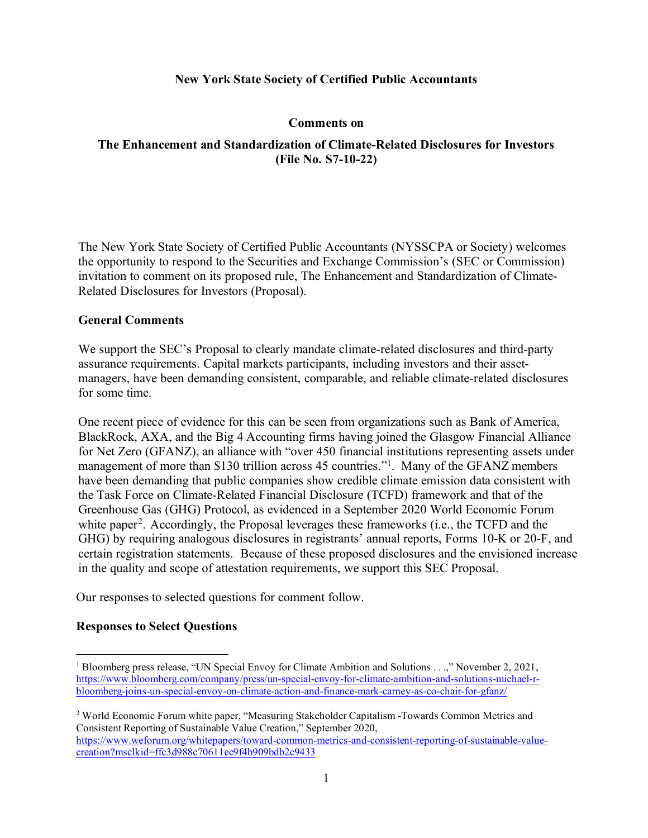### **New York State Society of Certified Public Accountants**

#### **Comments on**

### **The Enhancement and Standardization of Climate-Related Disclosures for Investors (File No. S7-10-22)**

The New York State Society of Certified Public Accountants (NYSSCPA or Society) welcomes the opportunity to respond to the Securities and Exchange Commission's (SEC or Commission) invitation to comment on its proposed rule, The Enhancement and Standardization of Climate-Related Disclosures for Investors (Proposal).

#### **General Comments**

We support the SEC's Proposal to clearly mandate climate-related disclosures and third-party assurance requirements. Capital markets participants, including investors and their assetmanagers, have been demanding consistent, comparable, and reliable climate-related disclosures for some time.

One recent piece of evidence for this can be seen from organizations such as Bank of America, BlackRock, AXA, and the Big 4 Accounting firms having joined the Glasgow Financial Alliance for Net Zero (GFANZ), an alliance with "over 450 financial institutions representing assets under management of more than \$[1](#page-3-0)30 trillion across 45 countries."<sup>1</sup>. Many of the GFANZ members have been demanding that public companies show credible climate emission data consistent with the Task Force on Climate-Related Financial Disclosure (TCFD) framework and that of the Greenhouse Gas (GHG) Protocol, as evidenced in a September 2020 World Economic Forum white paper<sup>2</sup>. Accordingly, the Proposal leverages these frameworks (i.e., the TCFD and the GHG) by requiring analogous disclosures in registrants' annual reports, Forms 10-K or 20-F, and certain registration statements. Because of these proposed disclosures and the envisioned increase in the quality and scope of attestation requirements, we support this SEC Proposal.

Our responses to selected questions for comment follow.

### **Responses to Select Questions**

<span id="page-3-0"></span><sup>&</sup>lt;sup>1</sup> Bloomberg press release, "UN Special Envoy for Climate Ambition and Solutions . . .," November 2, 2021, [https://www.bloomberg.com/company/press/un-special-envoy-for-climate-ambition-and-solutions-michael-r](https://www.bloomberg.com/company/press/un-special-envoy-for-climate-ambition-and-solutions-michael-r-bloomberg-joins-un-special-envoy-on-climate-action-and-finance-mark-carney-as-co-chair-for-gfanz/)[bloomberg-joins-un-special-envoy-on-climate-action-and-finance-mark-carney-as-co-chair-for-gfanz/](https://www.bloomberg.com/company/press/un-special-envoy-for-climate-ambition-and-solutions-michael-r-bloomberg-joins-un-special-envoy-on-climate-action-and-finance-mark-carney-as-co-chair-for-gfanz/)

<span id="page-3-1"></span><sup>2</sup> World Economic Forum white paper, "Measuring Stakeholder Capitalism -Towards Common Metrics and Consistent Reporting of Sustainable Value Creation," September 2020, [https://www.weforum.org/whitepapers/toward-common-metrics-and-consistent-reporting-of-sustainable-value](https://www.weforum.org/whitepapers/toward-common-metrics-and-consistent-reporting-of-sustainable-value-creation?msclkid=ffc3d988c70611ec9f4b909bdb2c9433)[creation?msclkid=ffc3d988c70611ec9f4b909bdb2c9433](https://www.weforum.org/whitepapers/toward-common-metrics-and-consistent-reporting-of-sustainable-value-creation?msclkid=ffc3d988c70611ec9f4b909bdb2c9433)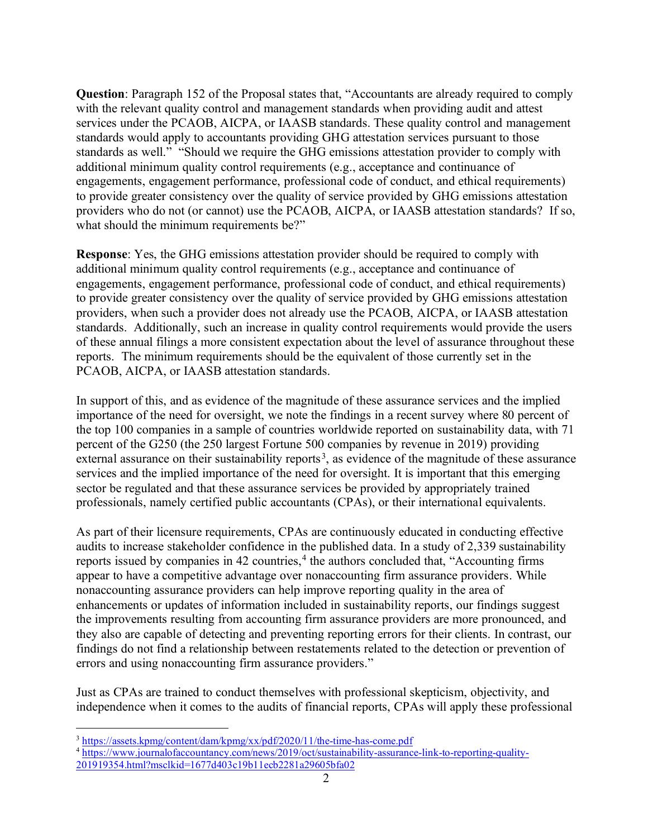**Question**: Paragraph 152 of the Proposal states that, "Accountants are already required to comply with the relevant quality control and management standards when providing audit and attest services under the PCAOB, AICPA, or IAASB standards. These quality control and management standards would apply to accountants providing GHG attestation services pursuant to those standards as well." "Should we require the GHG emissions attestation provider to comply with additional minimum quality control requirements (e.g., acceptance and continuance of engagements, engagement performance, professional code of conduct, and ethical requirements) to provide greater consistency over the quality of service provided by GHG emissions attestation providers who do not (or cannot) use the PCAOB, AICPA, or IAASB attestation standards? If so, what should the minimum requirements be?"

**Response**: Yes, the GHG emissions attestation provider should be required to comply with additional minimum quality control requirements (e.g., acceptance and continuance of engagements, engagement performance, professional code of conduct, and ethical requirements) to provide greater consistency over the quality of service provided by GHG emissions attestation providers, when such a provider does not already use the PCAOB, AICPA, or IAASB attestation standards. Additionally, such an increase in quality control requirements would provide the users of these annual filings a more consistent expectation about the level of assurance throughout these reports. The minimum requirements should be the equivalent of those currently set in the PCAOB, AICPA, or IAASB attestation standards.

In support of this, and as evidence of the magnitude of these assurance services and the implied importance of the need for oversight, we note the findings in a recent survey where 80 percent of the top 100 companies in a sample of countries worldwide reported on sustainability data, with 71 percent of the G250 (the 250 largest Fortune 500 companies by revenue in 2019) providing external assurance on their sustainability reports<sup>[3](#page-4-0)</sup>, as evidence of the magnitude of these assurance services and the implied importance of the need for oversight. It is important that this emerging sector be regulated and that these assurance services be provided by appropriately trained professionals, namely certified public accountants (CPAs), or their international equivalents.

As part of their licensure requirements, CPAs are continuously educated in conducting effective audits to increase stakeholder confidence in the published data. In a study of 2,339 sustainability reports issued by companies in [4](#page-4-1)2 countries, $4$  the authors concluded that, "Accounting firms appear to have a competitive advantage over nonaccounting firm assurance providers. While nonaccounting assurance providers can help improve reporting quality in the area of enhancements or updates of information included in sustainability reports, our findings suggest the improvements resulting from accounting firm assurance providers are more pronounced, and they also are capable of detecting and preventing reporting errors for their clients. In contrast, our findings do not find a relationship between restatements related to the detection or prevention of errors and using nonaccounting firm assurance providers."

Just as CPAs are trained to conduct themselves with professional skepticism, objectivity, and independence when it comes to the audits of financial reports, CPAs will apply these professional

<span id="page-4-0"></span><sup>3</sup> <https://assets.kpmg/content/dam/kpmg/xx/pdf/2020/11/the-time-has-come.pdf>

<span id="page-4-1"></span><sup>4</sup> [https://www.journalofaccountancy.com/news/2019/oct/sustainability-assurance-link-to-reporting-quality-](https://www.journalofaccountancy.com/news/2019/oct/sustainability-assurance-link-to-reporting-quality-201919354.html?msclkid=1677d403c19b11ecb2281a29605bfa02)[201919354.html?msclkid=1677d403c19b11ecb2281a29605bfa02](https://www.journalofaccountancy.com/news/2019/oct/sustainability-assurance-link-to-reporting-quality-201919354.html?msclkid=1677d403c19b11ecb2281a29605bfa02)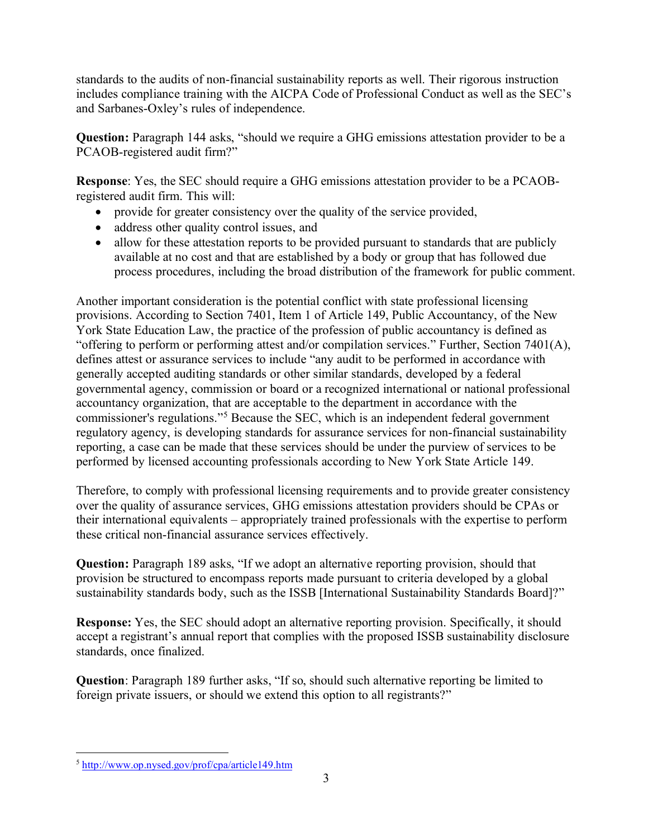standards to the audits of non-financial sustainability reports as well. Their rigorous instruction includes compliance training with the AICPA Code of Professional Conduct as well as the SEC's and Sarbanes-Oxley's rules of independence.

**Question:** Paragraph 144 asks, "should we require a GHG emissions attestation provider to be a PCAOB-registered audit firm?"

**Response**: Yes, the SEC should require a GHG emissions attestation provider to be a PCAOBregistered audit firm. This will:

- provide for greater consistency over the quality of the service provided,
- address other quality control issues, and
- allow for these attestation reports to be provided pursuant to standards that are publicly available at no cost and that are established by a body or group that has followed due process procedures, including the broad distribution of the framework for public comment.

Another important consideration is the potential conflict with state professional licensing provisions. According to Section 7401, Item 1 of Article 149, Public Accountancy, of the New York State Education Law, the practice of the profession of public accountancy is defined as "offering to perform or performing attest and/or compilation services." Further, Section 7401(A), defines attest or assurance services to include "any audit to be performed in accordance with generally accepted auditing standards or other similar standards, developed by a federal governmental agency, commission or board or a recognized international or national professional accountancy organization, that are acceptable to the department in accordance with the commissioner's regulations."[5](#page-5-0) Because the SEC, which is an independent federal government regulatory agency, is developing standards for assurance services for non-financial sustainability reporting, a case can be made that these services should be under the purview of services to be performed by licensed accounting professionals according to New York State Article 149.

Therefore, to comply with professional licensing requirements and to provide greater consistency over the quality of assurance services, GHG emissions attestation providers should be CPAs or their international equivalents – appropriately trained professionals with the expertise to perform these critical non-financial assurance services effectively.

**Question:** Paragraph 189 asks, "If we adopt an alternative reporting provision, should that provision be structured to encompass reports made pursuant to criteria developed by a global sustainability standards body, such as the ISSB [International Sustainability Standards Board]?"

**Response:** Yes, the SEC should adopt an alternative reporting provision. Specifically, it should accept a registrant's annual report that complies with the proposed ISSB sustainability disclosure standards, once finalized.

**Question**: Paragraph 189 further asks, "If so, should such alternative reporting be limited to foreign private issuers, or should we extend this option to all registrants?"

<span id="page-5-0"></span><sup>5</sup> <http://www.op.nysed.gov/prof/cpa/article149.htm>